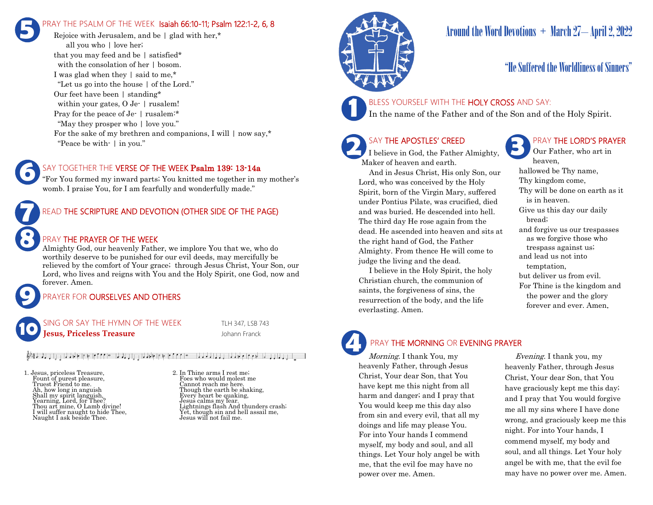## RAY THE PSALM OF THE WEEK Isaiah 66:10-11; Psalm 122:1-2, 6, 8 **5**

Rejoice with Jerusalem, and be | glad with her.\* all you who | love her; that you may feed and be | satisfied\* with the consolation of her | bosom. I was glad when they | said to me,\* "Let us go into the house | of the Lord." Our feet have been | standing\* within your gates, O Je- | rusalem! Pray for the peace of Je- | rusalem:\* "May they prosper who | love you." For the sake of my brethren and companions, I will  $\mid$  now say,\* "Peace be with- | in you."

#### SAY TOGETHER THE VERSE OF THE WEEK Psalm 139: 13-14a

"For You formed my inward parts; You knitted me together in my mother's womb. I praise You, for I am fearfully and wonderfully made."



#### PRAY THE PRAYER OF THE WEEK

Almighty God, our heavenly Father, we implore You that we, who do worthily deserve to be punished for our evil deeds, may mercifully be relieved by the comfort of Your grace; through Jesus Christ, Your Son, our Lord, who lives and reigns with You and the Holy Spirit, one God, now and forever. Amen.

#### PRAYER FOR **OURSELVES AND OTHERS**

SING OR SAY THE HYMN OF THE WEEK TLH 347, LSB 743 **Johann Franck School School School School School School School School School School School School School School 10**

#### المسيار والمارون أماموه والمنافس والمتعارف والمتمولة والمعارف والمنافس والمستقرران والمستقررة والمنافرة

1. Jesus, priceless Treasure, Fount of purest pleasure, Truest Friend to me. Ah, how long in anguish Shall my spirit languish, Yearning, Lord, for Thee? Thou art mine, O Lamb divine! I will suffer naught to hide Thee, Naught I ask beside Thee.

**9**

**8**

**6**

2. In Thine arms I rest me; Foes who would molest me Cannot reach me here. Though the earth be shaking, Every heart be quaking, Jesus calms my fear. Lightnings flash And thunders crash; Yet, though sin and hell assail me, Jesus will not fail me.



## Around the Word Devotions  $+$  March 27-April 2, 2022

## "He Suffered the Worldliness of Sinners"

#### BLESS YOURSELF WITH THE HOLY CROSS AND SAY:

In the name of the Father and of the Son and of the Holy Spirit.

## SAY THE APOSTLES' CREED

**2 SAY THE APOSTLES' CREED I** believe in God, the Father Almighty, Maker of heaven and earth.

 And in Jesus Christ, His only Son, our Lord, who was conceived by the Holy Spirit, born of the Virgin Mary, suffered under Pontius Pilate, was crucified, died and was buried. He descended into hell. The third day He rose again from the dead. He ascended into heaven and sits at the right hand of God, the Father Almighty. From thence He will come to judge the living and the dead.

 I believe in the Holy Spirit, the holy Christian church, the communion of saints, the forgiveness of sins, the resurrection of the body, and the life everlasting. Amen.

### PRAY THE LORD'S PRAYER

Our Father, who art in heaven, hallowed be Thy name, Thy kingdom come, Thy will be done on earth as it is in heaven. Give us this day our daily bread; and forgive us our trespasses as we forgive those who trespass against us; and lead us not into temptation, but deliver us from evil. For Thine is the kingdom and the power and the glory forever and ever. Amen.

# **4**

#### PRAY THE MORNING OR EVENING PRAYER

Morning. I thank You, my heavenly Father, through Jesus Christ, Your dear Son, that You have kept me this night from all harm and danger; and I pray that You would keep me this day also from sin and every evil, that all my doings and life may please You. For into Your hands I commend myself, my body and soul, and all things. Let Your holy angel be with me, that the evil foe may have no power over me. Amen.

 Evening. I thank you, my heavenly Father, through Jesus Christ, Your dear Son, that You have graciously kept me this day; and I pray that You would forgive me all my sins where I have done wrong, and graciously keep me this night. For into Your hands, I commend myself, my body and soul, and all things. Let Your holy angel be with me, that the evil foe may have no power over me. Amen.